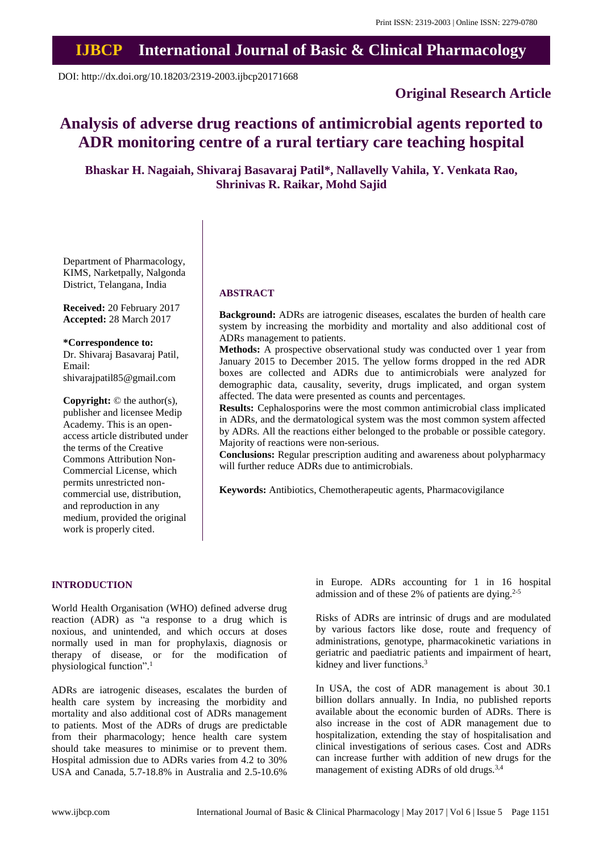## **IJBCP International Journal of Basic & Clinical Pharmacology**

DOI: http://dx.doi.org/10.18203/2319-2003.ijbcp20171668

## **Original Research Article**

# **Analysis of adverse drug reactions of antimicrobial agents reported to ADR monitoring centre of a rural tertiary care teaching hospital**

**Bhaskar H. Nagaiah, Shivaraj Basavaraj Patil\*, Nallavelly Vahila, Y. Venkata Rao, Shrinivas R. Raikar, Mohd Sajid**

Department of Pharmacology, KIMS, Narketpally, Nalgonda District, Telangana, India

**Received:** 20 February 2017 **Accepted:** 28 March 2017

**\*Correspondence to:** Dr. Shivaraj Basavaraj Patil, Email: shivarajpatil85@gmail.com

**Copyright:** © the author(s), publisher and licensee Medip Academy. This is an openaccess article distributed under the terms of the Creative Commons Attribution Non-Commercial License, which permits unrestricted noncommercial use, distribution, and reproduction in any medium, provided the original work is properly cited.

## **ABSTRACT**

**Background:** ADRs are iatrogenic diseases, escalates the burden of health care system by increasing the morbidity and mortality and also additional cost of ADRs management to patients.

**Methods:** A prospective observational study was conducted over 1 year from January 2015 to December 2015. The yellow forms dropped in the red ADR boxes are collected and ADRs due to antimicrobials were analyzed for demographic data, causality, severity, drugs implicated, and organ system affected. The data were presented as counts and percentages.

**Results:** Cephalosporins were the most common antimicrobial class implicated in ADRs, and the dermatological system was the most common system affected by ADRs. All the reactions either belonged to the probable or possible category. Majority of reactions were non-serious.

**Conclusions:** Regular prescription auditing and awareness about polypharmacy will further reduce ADRs due to antimicrobials.

**Keywords:** Antibiotics, Chemotherapeutic agents, Pharmacovigilance

#### **INTRODUCTION**

World Health Organisation (WHO) defined adverse drug reaction (ADR) as "a response to a drug which is noxious, and unintended, and which occurs at doses normally used in man for prophylaxis, diagnosis or therapy of disease, or for the modification of physiological function". 1

ADRs are iatrogenic diseases, escalates the burden of health care system by increasing the morbidity and mortality and also additional cost of ADRs management to patients. Most of the ADRs of drugs are predictable from their pharmacology; hence health care system should take measures to minimise or to prevent them. Hospital admission due to ADRs varies from 4.2 to 30% USA and Canada, 5.7-18.8% in Australia and 2.5-10.6%

in Europe. ADRs accounting for 1 in 16 hospital admission and of these 2% of patients are dying. 2-5

Risks of ADRs are intrinsic of drugs and are modulated by various factors like dose, route and frequency of administrations, genotype, pharmacokinetic variations in geriatric and paediatric patients and impairment of heart, kidney and liver functions.<sup>3</sup>

In USA, the cost of ADR management is about 30.1 billion dollars annually. In India, no published reports available about the economic burden of ADRs. There is also increase in the cost of ADR management due to hospitalization, extending the stay of hospitalisation and clinical investigations of serious cases. Cost and ADRs can increase further with addition of new drugs for the management of existing ADRs of old drugs.<sup>3,4</sup>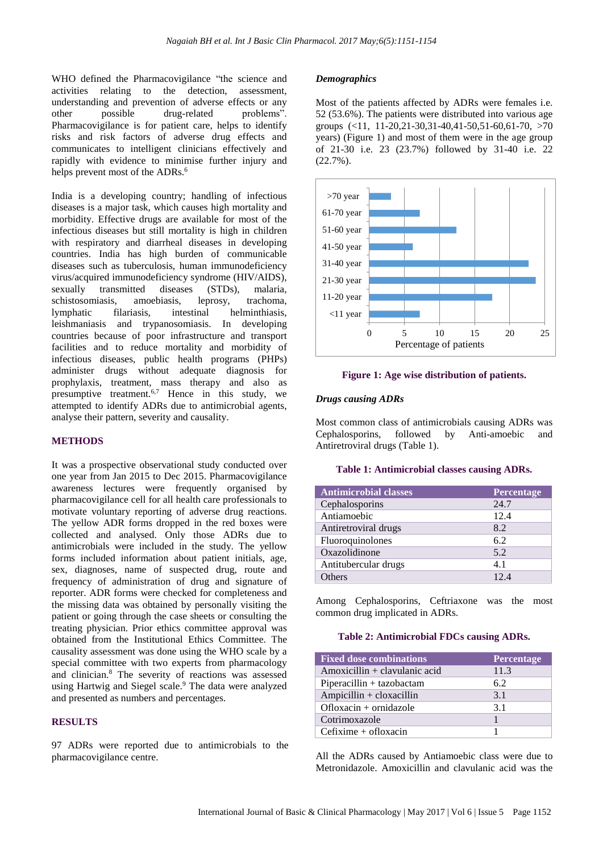WHO defined the Pharmacovigilance "the science and activities relating to the detection, assessment, understanding and prevention of adverse effects or any other possible drug-related problems". Pharmacovigilance is for patient care, helps to identify risks and risk factors of adverse drug effects and communicates to intelligent clinicians effectively and rapidly with evidence to minimise further injury and helps prevent most of the ADRs.<sup>6</sup>

India is a developing country; handling of infectious diseases is a major task, which causes high mortality and morbidity. Effective drugs are available for most of the infectious diseases but still mortality is high in children with respiratory and diarrheal diseases in developing countries. India has high burden of communicable diseases such as tuberculosis, human immunodeficiency virus/acquired immunodeficiency syndrome (HIV/AIDS), sexually transmitted diseases (STDs), malaria, schistosomiasis, amoebiasis, leprosy, trachoma, lymphatic filariasis, intestinal helminthiasis, leishmaniasis and trypanosomiasis. In developing countries because of poor infrastructure and transport facilities and to reduce mortality and morbidity of infectious diseases, public health programs (PHPs) administer drugs without adequate diagnosis for prophylaxis, treatment, mass therapy and also as presumptive treatment.<sup>6,7</sup> Hence in this study, we attempted to identify ADRs due to antimicrobial agents, analyse their pattern, severity and causality.

#### **METHODS**

It was a prospective observational study conducted over one year from Jan 2015 to Dec 2015. Pharmacovigilance awareness lectures were frequently organised by pharmacovigilance cell for all health care professionals to motivate voluntary reporting of adverse drug reactions. The yellow ADR forms dropped in the red boxes were collected and analysed. Only those ADRs due to antimicrobials were included in the study. The yellow forms included information about patient initials, age, sex, diagnoses, name of suspected drug, route and frequency of administration of drug and signature of reporter. ADR forms were checked for completeness and the missing data was obtained by personally visiting the patient or going through the case sheets or consulting the treating physician. Prior ethics committee approval was obtained from the Institutional Ethics Committee. The causality assessment was done using the WHO scale by a special committee with two experts from pharmacology and clinician.<sup>8</sup> The severity of reactions was assessed using Hartwig and Siegel scale.<sup>9</sup> The data were analyzed and presented as numbers and percentages.

#### **RESULTS**

97 ADRs were reported due to antimicrobials to the pharmacovigilance centre.

#### *Demographics*

Most of the patients affected by ADRs were females i.e. 52 (53.6%). The patients were distributed into various age groups (<11, 11-20,21-30,31-40,41-50,51-60,61-70, >70 years) (Figure 1) and most of them were in the age group of 21-30 i.e. 23 (23.7%) followed by 31-40 i.e. 22 (22.7%).



#### **Figure 1: Age wise distribution of patients.**

#### *Drugs causing ADRs*

Most common class of antimicrobials causing ADRs was Cephalosporins, followed by Anti-amoebic and Antiretroviral drugs (Table 1).

#### **Table 1: Antimicrobial classes causing ADRs.**

| <b>Antimicrobial classes</b> | Percentage |
|------------------------------|------------|
| Cephalosporins               | 24.7       |
| Antiamoebic                  | 12.4       |
| Antiretroviral drugs         | 8.2        |
| Fluoroquinolones             | 6.2        |
| Oxazolidinone                | 5.2        |
| Antitubercular drugs         | 4.1        |
| Others                       | 12.4       |

Among Cephalosporins, Ceftriaxone was the most common drug implicated in ADRs.

#### **Table 2: Antimicrobial FDCs causing ADRs.**

| <b>Fixed dose combinations</b>   | Percentage |
|----------------------------------|------------|
| $A$ moxicillin + clavulanic acid | 11.3       |
| $Piperacillin + taxobactam$      | 6.2        |
| $Ampicillin + cloxacillin$       | 3.1        |
| Ofloxacin $+$ ornidazole         | 3.1        |
| Cotrimoxazole                    |            |
| $Cefixime + ofloxacin$           |            |

All the ADRs caused by Antiamoebic class were due to Metronidazole. Amoxicillin and clavulanic acid was the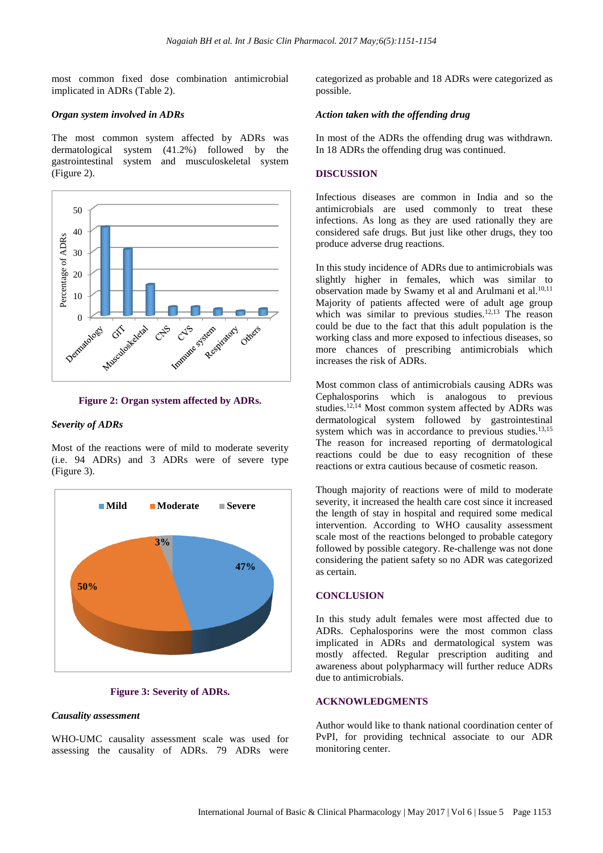most common fixed dose combination antimicrobial implicated in ADRs (Table 2).

#### *Organ system involved in ADRs*

The most common system affected by ADRs was dermatological system (41.2%) followed by the gastrointestinal system and musculoskeletal system (Figure 2).



#### **Figure 2: Organ system affected by ADRs.**

#### *Severity of ADRs*

Most of the reactions were of mild to moderate severity (i.e. 94 ADRs) and 3 ADRs were of severe type (Figure 3).



#### **Figure 3: Severity of ADRs.**

#### *Causality assessment*

WHO-UMC causality assessment scale was used for assessing the causality of ADRs. 79 ADRs were categorized as probable and 18 ADRs were categorized as possible.

#### *Action taken with the offending drug*

In most of the ADRs the offending drug was withdrawn. In 18 ADRs the offending drug was continued.

#### **DISCUSSION**

Infectious diseases are common in India and so the antimicrobials are used commonly to treat these infections. As long as they are used rationally they are considered safe drugs. But just like other drugs, they too produce adverse drug reactions.

In this study incidence of ADRs due to antimicrobials was slightly higher in females, which was similar to observation made by Swamy et al and Arulmani et al.<sup>10,11</sup> Majority of patients affected were of adult age group which was similar to previous studies. $12,13$  The reason could be due to the fact that this adult population is the working class and more exposed to infectious diseases, so more chances of prescribing antimicrobials which increases the risk of ADRs.

Most common class of antimicrobials causing ADRs was Cephalosporins which is analogous to previous studies.12,14 Most common system affected by ADRs was dermatological system followed by gastrointestinal system which was in accordance to previous studies.<sup>13,15</sup> The reason for increased reporting of dermatological reactions could be due to easy recognition of these reactions or extra cautious because of cosmetic reason.

Though majority of reactions were of mild to moderate severity, it increased the health care cost since it increased the length of stay in hospital and required some medical intervention. According to WHO causality assessment scale most of the reactions belonged to probable category followed by possible category. Re-challenge was not done considering the patient safety so no ADR was categorized as certain.

### **CONCLUSION**

In this study adult females were most affected due to ADRs. Cephalosporins were the most common class implicated in ADRs and dermatological system was mostly affected. Regular prescription auditing and awareness about polypharmacy will further reduce ADRs due to antimicrobials.

#### **ACKNOWLEDGMENTS**

Author would like to thank national coordination center of PvPI, for providing technical associate to our ADR monitoring center.